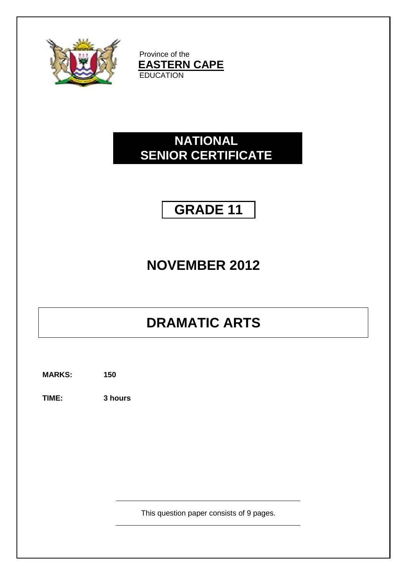

Province of the **EASTERN CAPE EDUCATION** 

## **NATIONAL SENIOR CERTIFICATE**

## **GRADE 11**

## **NOVEMBER 2012**

# **DRAMATIC ARTS**

**MARKS: 150**

**TIME: 3 hours**

This question paper consists of 9 pages.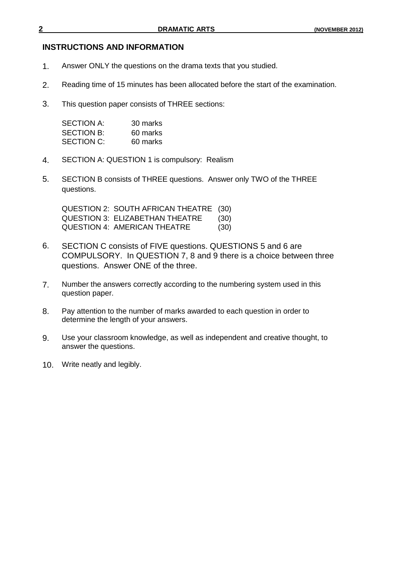#### **INSTRUCTIONS AND INFORMATION**

- 1. Answer ONLY the questions on the drama texts that you studied.
- 2. Reading time of 15 minutes has been allocated before the start of the examination.
- 3. This question paper consists of THREE sections:

| SECTION A: | 30 marks |
|------------|----------|
| SECTION B: | 60 marks |
| SECTION C: | 60 marks |

- 4. SECTION A: QUESTION 1 is compulsory: Realism
- 5. SECTION B consists of THREE questions. Answer only TWO of the THREE questions.

QUESTION 2: SOUTH AFRICAN THEATRE (30) QUESTION 3: ELIZABETHAN THEATRE (30) QUESTION 4: AMERICAN THEATRE (30)

- 6. SECTION C consists of FIVE questions. QUESTIONS 5 and 6 are COMPULSORY. In QUESTION 7, 8 and 9 there is a choice between three questions. Answer ONE of the three.
- 7. Number the answers correctly according to the numbering system used in this question paper.
- 8. Pay attention to the number of marks awarded to each question in order to determine the length of your answers.
- 9. Use your classroom knowledge, as well as independent and creative thought, to answer the questions.
- 10. Write neatly and legibly.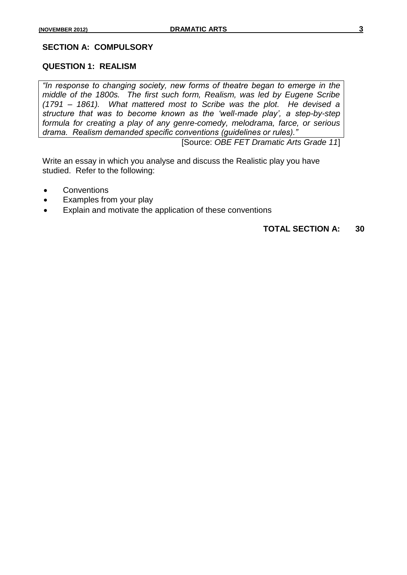#### **SECTION A: COMPULSORY**

#### **QUESTION 1: REALISM**

*"In response to changing society, new forms of theatre began to emerge in the middle of the 1800s. The first such form, Realism, was led by Eugene Scribe (1791 – 1861). What mattered most to Scribe was the plot. He devised a structure that was to become known as the "well-made play", a step-by-step formula for creating a play of any genre-comedy, melodrama, farce, or serious drama. Realism demanded specific conventions (guidelines or rules)."*

[Source: *OBE FET Dramatic Arts Grade 11*]

Write an essay in which you analyse and discuss the Realistic play you have studied. Refer to the following:

- Conventions
- Examples from your play
- Explain and motivate the application of these conventions

## **TOTAL SECTION A: 30**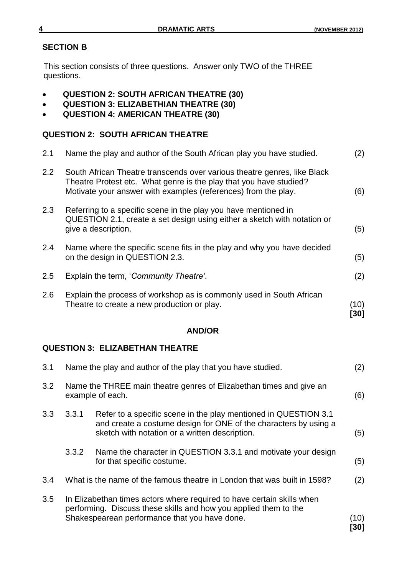## **SECTION B**

This section consists of three questions. Answer only TWO of the THREE questions.

- **QUESTION 2: SOUTH AFRICAN THEATRE (30)**
- **QUESTION 3: ELIZABETHIAN THEATRE (30)**
- **QUESTION 4: AMERICAN THEATRE (30)**

## **QUESTION 2: SOUTH AFRICAN THEATRE**

| 2.1           | Name the play and author of the South African play you have studied.                                                                                                                                             | (2)          |
|---------------|------------------------------------------------------------------------------------------------------------------------------------------------------------------------------------------------------------------|--------------|
| $2.2^{\circ}$ | South African Theatre transcends over various theatre genres, like Black<br>Theatre Protest etc. What genre is the play that you have studied?<br>Motivate your answer with examples (references) from the play. | (6)          |
| 2.3           | Referring to a specific scene in the play you have mentioned in<br>QUESTION 2.1, create a set design using either a sketch with notation or<br>give a description.                                               | (5)          |
| 2.4           | Name where the specific scene fits in the play and why you have decided<br>on the design in QUESTION 2.3.                                                                                                        | (5)          |
| 2.5           | Explain the term, 'Community Theatre'.                                                                                                                                                                           | (2)          |
| 2.6           | Explain the process of workshop as is commonly used in South African<br>Theatre to create a new production or play.                                                                                              | (10)<br>[30] |

## **AND/OR**

## **QUESTION 3: ELIZABETHAN THEATRE**

| 3.1 |       | Name the play and author of the play that you have studied.                                                                                                                                 | (2)          |
|-----|-------|---------------------------------------------------------------------------------------------------------------------------------------------------------------------------------------------|--------------|
| 3.2 |       | Name the THREE main theatre genres of Elizabethan times and give an<br>example of each.                                                                                                     | (6)          |
| 3.3 | 3.3.1 | Refer to a specific scene in the play mentioned in QUESTION 3.1<br>and create a costume design for ONE of the characters by using a<br>sketch with notation or a written description.       | (5)          |
|     | 3.3.2 | Name the character in QUESTION 3.3.1 and motivate your design<br>for that specific costume.                                                                                                 | (5)          |
| 3.4 |       | What is the name of the famous theatre in London that was built in 1598?                                                                                                                    | (2)          |
| 3.5 |       | In Elizabethan times actors where required to have certain skills when<br>performing. Discuss these skills and how you applied them to the<br>Shakespearean performance that you have done. | (10)<br>[30] |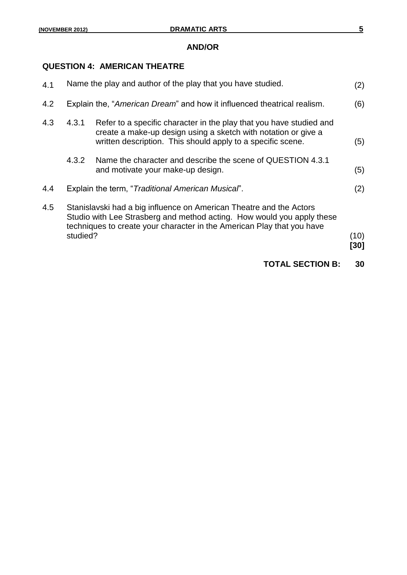#### **AND/OR**

### **QUESTION 4: AMERICAN THEATRE**

|     |          | <b>TOTAL SECTION B:</b>                                                                                                                                                                                                 | 30           |
|-----|----------|-------------------------------------------------------------------------------------------------------------------------------------------------------------------------------------------------------------------------|--------------|
| 4.5 | studied? | Stanislavski had a big influence on American Theatre and the Actors<br>Studio with Lee Strasberg and method acting. How would you apply these<br>techniques to create your character in the American Play that you have | (10)<br>[30] |
| 4.4 |          | Explain the term, "Traditional American Musical".                                                                                                                                                                       | (2)          |
|     | 4.3.2    | Name the character and describe the scene of QUESTION 4.3.1<br>and motivate your make-up design.                                                                                                                        | (5)          |
| 4.3 | 4.3.1    | Refer to a specific character in the play that you have studied and<br>create a make-up design using a sketch with notation or give a<br>written description. This should apply to a specific scene.                    | (5)          |
| 4.2 |          | Explain the, "American Dream" and how it influenced theatrical realism.                                                                                                                                                 | (6)          |
| 4.1 |          | Name the play and author of the play that you have studied.                                                                                                                                                             | (2)          |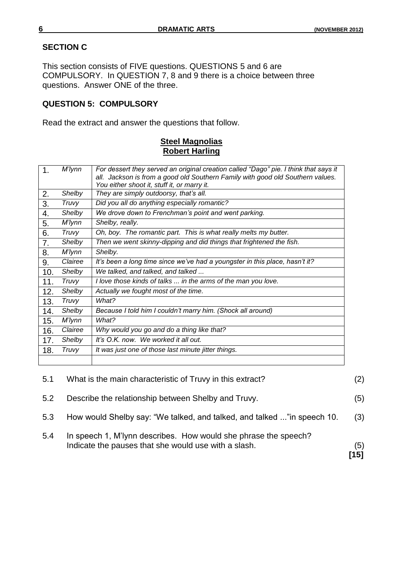### **SECTION C**

This section consists of FIVE questions. QUESTIONS 5 and 6 are COMPULSORY. In QUESTION 7, 8 and 9 there is a choice between three questions. Answer ONE of the three.

## **QUESTION 5: COMPULSORY**

Read the extract and answer the questions that follow.

## **Steel Magnolias Robert Harling**

| 1.  | M'lynn       | For dessert they served an original creation called "Dago" pie. I think that says it |
|-----|--------------|--------------------------------------------------------------------------------------|
|     |              | all. Jackson is from a good old Southern Family with good old Southern values.       |
|     |              | You either shoot it, stuff it, or marry it.                                          |
| 2.  | Shelby       | They are simply outdoorsy, that's all.                                               |
| 3.  | <b>Truvy</b> | Did you all do anything especially romantic?                                         |
| 4.  | Shelby       | We drove down to Frenchman's point and went parking.                                 |
| 5.  | M'lynn       | Shelby, really.                                                                      |
| 6.  | Truvy        | Oh, boy. The romantic part. This is what really melts my butter.                     |
| 7.  | Shelby       | Then we went skinny-dipping and did things that frightened the fish.                 |
| 8.  | M'lynn       | Shelby.                                                                              |
| 9.  | Clairee      | It's been a long time since we've had a youngster in this place, hasn't it?          |
| 10. | Shelby       | We talked, and talked, and talked                                                    |
| 11. | <b>Truvy</b> | I love those kinds of talks  in the arms of the man you love.                        |
| 12. | Shelby       | Actually we fought most of the time.                                                 |
| 13. | Truvy        | What?                                                                                |
| 14. | Shelby       | Because I told him I couldn't marry him. (Shock all around)                          |
| 15. | M'lynn       | What?                                                                                |
| 16. | Clairee      | Why would you go and do a thing like that?                                           |
| 17. | Shelby       | It's O.K. now. We worked it all out.                                                 |
| 18. | Truvy        | It was just one of those last minute jitter things.                                  |
|     |              |                                                                                      |
|     |              |                                                                                      |

| 5.1 | What is the main characteristic of Truvy in this extract?                                                               | (2)         |
|-----|-------------------------------------------------------------------------------------------------------------------------|-------------|
| 5.2 | Describe the relationship between Shelby and Truvy.                                                                     | (5)         |
| 5.3 | How would Shelby say: "We talked, and talked, and talked " in speech 10.                                                | (3)         |
| 5.4 | In speech 1, M'lynn describes. How would she phrase the speech?<br>Indicate the pauses that she would use with a slash. | (5)<br>[15] |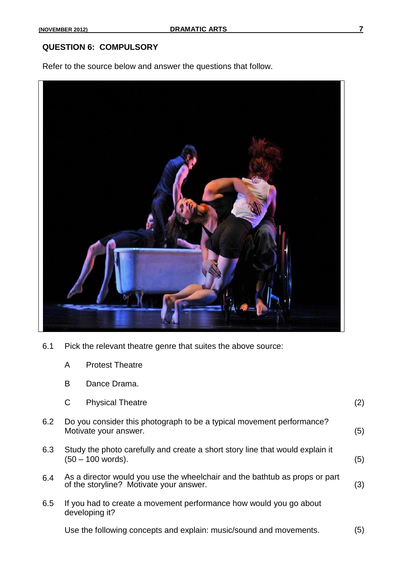### **QUESTION 6: COMPULSORY**

Refer to the source below and answer the questions that follow.



- 6.1 Pick the relevant theatre genre that suites the above source:
	- A Protest Theatre
	- B Dance Drama.

|     | C<br><b>Physical Theatre</b>                                                                                           | (2) |
|-----|------------------------------------------------------------------------------------------------------------------------|-----|
| 6.2 | Do you consider this photograph to be a typical movement performance?<br>Motivate your answer.                         | (5) |
| 6.3 | Study the photo carefully and create a short story line that would explain it<br>(50 – 100 words).                     | (5) |
| 6.4 | As a director would you use the wheelchair and the bathtub as props or part<br>of the storyline? Motivate your answer. | (3) |
| 6.5 | If you had to create a movement performance how would you go about<br>developing it?                                   |     |
|     | Use the following concepts and explain: music/sound and movements.                                                     | (5) |